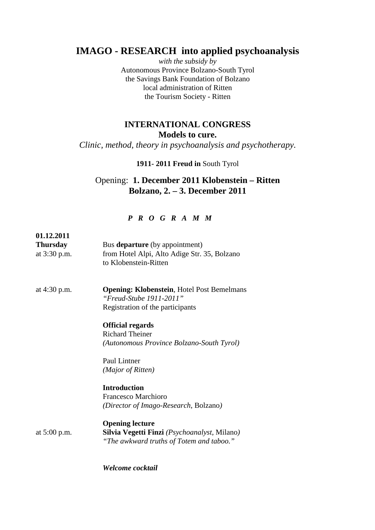# **IMAGO - RESEARCH into applied psychoanalysis**

*with the subsidy by*  Autonomous Province Bolzano-South Tyrol the Savings Bank Foundation of Bolzano local administration of Ritten the Tourism Society - Ritten

## **INTERNATIONAL CONGRESS Models to cure.**

*Clinic, method, theory in psychoanalysis and psychotherapy.* 

### **1911- 2011 Freud in** South Tyrol

## Opening: **1. December 2011 Klobenstein – Ritten Bolzano, 2. – 3. December 2011**

#### *P R O G R A M M*

| 01.12.2011<br><b>Thursday</b><br>at 3:30 p.m. | Bus departure (by appointment)<br>from Hotel Alpi, Alto Adige Str. 35, Bolzano<br>to Klobenstein-Ritten          |
|-----------------------------------------------|------------------------------------------------------------------------------------------------------------------|
| at $4:30$ p.m.                                | <b>Opening: Klobenstein, Hotel Post Bemelmans</b><br>"Freud-Stube 1911-2011"<br>Registration of the participants |
|                                               | <b>Official regards</b>                                                                                          |
|                                               | <b>Richard Theiner</b>                                                                                           |
|                                               | (Autonomous Province Bolzano-South Tyrol)                                                                        |
|                                               | Paul Lintner                                                                                                     |
|                                               | (Major of Ritten)                                                                                                |
|                                               | <b>Introduction</b>                                                                                              |
|                                               | Francesco Marchioro                                                                                              |
|                                               | (Director of Imago-Research, Bolzano)                                                                            |
|                                               | <b>Opening lecture</b>                                                                                           |
| at $5:00$ p.m.                                | Silvia Vegetti Finzi (Psychoanalyst, Milano)                                                                     |
|                                               | "The awkward truths of Totem and taboo."                                                                         |

*Welcome cocktail*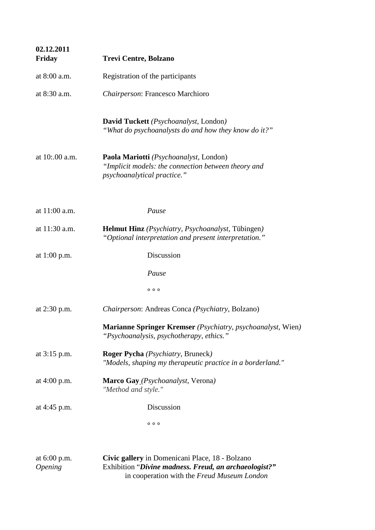| 02.12.2011<br><b>Friday</b>           | <b>Trevi Centre, Bolzano</b>                                                                                                                            |
|---------------------------------------|---------------------------------------------------------------------------------------------------------------------------------------------------------|
| at 8:00 a.m.                          | Registration of the participants                                                                                                                        |
| at 8:30 a.m.                          | Chairperson: Francesco Marchioro                                                                                                                        |
|                                       | David Tuckett (Psychoanalyst, London)<br>"What do psychoanalysts do and how they know do it?"                                                           |
| at 10:.00 a.m.                        | Paola Mariotti (Psychoanalyst, London)<br>"Implicit models: the connection between theory and<br>psychoanalytical practice."                            |
| at 11:00 a.m.                         | Pause                                                                                                                                                   |
| at 11:30 a.m.                         | Helmut Hinz (Psychiatry, Psychoanalyst, Tübingen)<br>"Optional interpretation and present interpretation."                                              |
| at $1:00$ p.m.                        | Discussion                                                                                                                                              |
|                                       | Pause                                                                                                                                                   |
|                                       | 000                                                                                                                                                     |
| at $2:30$ p.m.                        | Chairperson: Andreas Conca (Psychiatry, Bolzano)                                                                                                        |
|                                       | Marianne Springer Kremser (Psychiatry, psychoanalyst, Wien)<br>"Psychoanalysis, psychotherapy, ethics."                                                 |
| at $3:15$ p.m.                        | <b>Roger Pycha</b> ( <i>Psychiatry</i> , Bruneck)<br>"Models, shaping my therapeutic practice in a borderland."                                         |
| at $4:00$ p.m.                        | Marco Gay (Psychoanalyst, Verona)<br>"Method and style."                                                                                                |
| at 4:45 p.m.                          | Discussion                                                                                                                                              |
|                                       | 000                                                                                                                                                     |
| at 6:00 p.m.<br><i><b>Opening</b></i> | Civic gallery in Domenicani Place, 18 - Bolzano<br>Exhibition "Divine madness. Freud, an archaeologist?"<br>in cooperation with the Freud Museum London |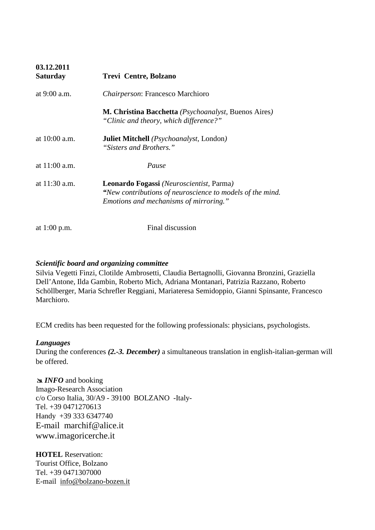| 03.12.2011<br><b>Saturday</b> | Trevi Centre, Bolzano                                                                                                                                  |
|-------------------------------|--------------------------------------------------------------------------------------------------------------------------------------------------------|
| at $9:00$ a.m.                | Chairperson: Francesco Marchioro                                                                                                                       |
|                               | <b>M. Christina Bacchetta</b> ( <i>Psychoanalyst</i> , Buenos Aires)<br>"Clinic and theory, which difference?"                                         |
| at $10:00$ a.m.               | <b>Juliet Mitchell</b> <i>(Psychoanalyst, London)</i><br>"Sisters and Brothers."                                                                       |
| at $11:00$ a.m.               | Pause                                                                                                                                                  |
| at $11:30$ a.m.               | <b>Leonardo Fogassi</b> (Neuroscientist, Parma)<br>"New contributions of neuroscience to models of the mind.<br>Emotions and mechanisms of mirroring." |
| at 1:00 p.m.                  | Final discussion                                                                                                                                       |

### *Scientific board and organizing committee*

Silvia Vegetti Finzi, Clotilde Ambrosetti, Claudia Bertagnolli, Giovanna Bronzini, Graziella Dell'Antone, Ilda Gambin, Roberto Mich, Adriana Montanari, Patrizia Razzano, Roberto Schöllberger, Maria Schrefler Reggiani, Mariateresa Semidoppio, Gianni Spinsante, Francesco Marchioro.

ECM credits has been requested for the following professionals: physicians, psychologists.

#### *Languages*

During the conferences *(2.-3. December)* a simultaneous translation in english-italian-german will be offered.

**EXACTED** and booking Imago-Research Association c/o Corso Italia, 30/A9 - 39100 BOLZANO -Italy-Tel. +39 0471270613 Handy +39 333 6347740 E-mail marchif@alice.it www.imagoricerche.it

**HOTEL** Reservation: Tourist Office, Bolzano Tel. +39 0471307000 E-mail info@bolzano-bozen.it